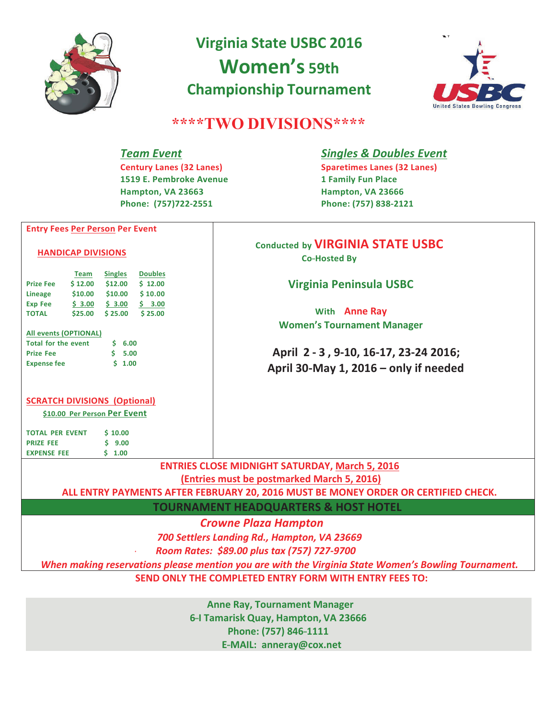

# **Virginia State USBC 2016 Women's 59th Championship Tournament**



## \*\*\*\*TWO DIVISIONS\*\*\*\*

## **Team Event**

**Century Lanes (32 Lanes)** 1519 E. Pembroke Avenue Hampton. VA 23663 Phone: (757)722-2551

## **Singles & Doubles Event**

**Sparetimes Lanes (32 Lanes) 1 Family Fun Place** Hampton, VA 23666 Phone: (757) 838-2121

## **Conducted by VIRGINIA STATE USBC Co-Hosted By**

## **Virginia Peninsula USBC**

With Anne Rav **Women's Tournament Manager** 

April 2 - 3, 9-10, 16-17, 23-24 2016; April 30-May 1, 2016  $-$  only if needed

#### **SCRATCH DIVISIONS (Optional)**

**Entry Fees Per Person Per Event** 

Lineage \$10.00 \$10.00 \$10.00

Team Singles Doubles  $$12.00$   $$12.00$   $$12.00$ 

 $$3.00 \t$3.00 \t$3.00$  \$ 3.00

\$25.00 \$25.00 \$25.00

 $5, 6.00$  $$5.00$ 

 $$1.00$ 

**HANDICAP DIVISIONS** 

Prize Fee

**Exp Fee** 

Prize Fee

**Expense fee** 

All events (OPTIONAL) **Total for the event** 

**TOTAL** 

\$10.00 Per Person Per Event

 $$10.00$ **TOTAL PER EVENT PRIZE FEE**  $$9.00$ **EXPENSE FEE**  $5 - 1.00$ 

**ENTRIES CLOSE MIDNIGHT SATURDAY, March 5, 2016** (Entries must be postmarked March 5, 2016)

ALL ENTRY PAYMENTS AFTER FEBRUARY 20, 2016 MUST BE MONEY ORDER OR CERTIFIED CHECK.

**TOURNAMENT HEADQUARTERS & HOST HOTEL** 

**Crowne Plaza Hampton** 

700 Settlers Landing Rd., Hampton, VA 23669

Room Rates: \$89.00 plus tax (757) 727-9700

When making reservations please mention you are with the Virginia State Women's Bowling Tournament.

SEND ONLY THE COMPLETED ENTRY FORM WITH ENTRY FEES TO:

**Anne Ray, Tournament Manager** 6-I Tamarisk Quay, Hampton, VA 23666 Phone: (757) 846-1111 E-MAIL: anneray@cox.net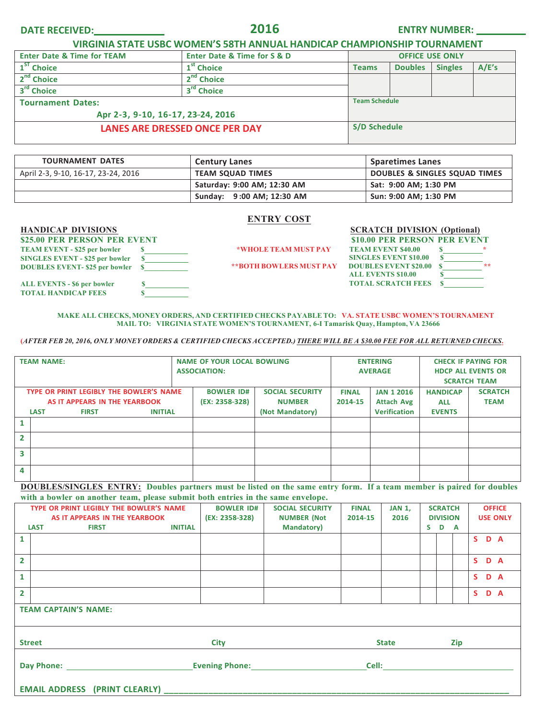**DATE RECEIVED: 2016 ENTRY NUMBER:**

**VIRGINIA STATE USBC WOMEN'S 58TH ANNUAL HANDICAP CHAMPIONSHIP TOURNAMENT** 

| <b>Enter Date &amp; Time for TEAM</b> | <b>Enter Date &amp; Time for S &amp; D</b> | <b>OFFICE USE ONLY</b> |                |                |  |  |  |
|---------------------------------------|--------------------------------------------|------------------------|----------------|----------------|--|--|--|
| 1 <sup>ST</sup> Choice                | 1 <sup>st</sup> Choice                     | <b>Teams</b>           | <b>Doubles</b> | <b>Singles</b> |  |  |  |
| 2 <sup>nd</sup> Choice                | 2 <sup>nd</sup><br><b>Choice</b>           |                        |                |                |  |  |  |
| 3 <sup>rd</sup> Choice                | 3 <sup>rd</sup> Choice                     |                        |                |                |  |  |  |
| <b>Tournament Dates:</b>              | <b>Team Schedule</b>                       |                        |                |                |  |  |  |
| Apr 2-3, 9-10, 16-17, 23-24, 2016     |                                            |                        |                |                |  |  |  |
| LANES ARE DRESSED ONCE PER DAY        | <b>S/D Schedule</b>                        |                        |                |                |  |  |  |

| <b>TOURNAMENT DATES</b>             | <b>Century Lanes</b>        | <b>Sparetimes Lanes</b>       |
|-------------------------------------|-----------------------------|-------------------------------|
| April 2-3, 9-10, 16-17, 23-24, 2016 | <b>TEAM SQUAD TIMES</b>     | DOUBLES & SINGLES SQUAD TIMES |
|                                     | Saturday: 9:00 AM; 12:30 AM | Sat: 9:00 AM; 1:30 PM         |
|                                     | Sunday: 9:00 AM; 12:30 AM   | Sun: 9:00 AM; 1:30 PM         |

#### **ENTRY COST**

**\$25.00 PER PERSON PER EVENT \$10.00 PER PERSON PER EVENT TEAM EVENT - \$25 per bowler \$ SINGLES EVENT - \$25 per bowler \$ DOUBLES EVENT- \$25 per bowler \$\_\_\_\_\_\_\_\_\_\_\_\_ ALL EVENTS - \$6 per bowler \$ TOTAL HANDICAP FEES \$** 

**\*WHOLE TEAM MUST PAY TEAM EVENT \$40.00 \$ \*** 

**HANDICAP DIVISIONS** SCRATCH DIVISION (Optional) **SINGLES EVENT \$10.00 \$ \*\*BOTH BOWLERS MUST PAY DOUBLES EVENT \$20.00 \$ \*\* ALL EVENTS \$10.00 \$ TOTAL SCRATCH FEES \$** 

**MAKE ALL CHECKS, MONEY ORDERS, AND CERTIFIED CHECKS PAYABLE TO: VA. STATE USBC WOMEN'S TOURNAMENT MAIL TO: VIRGINIA STATE WOMEN'S TOURNAMENT, 6-I Tamarisk Quay, Hampton, VA 23666**

**(***AFTER FEB 20, 2016, ONLY MONEY ORDERS & CERTIFIED CHECKS ACCEPTED.) THERE WILL BE A \$30.00 FEE FOR ALL RETURNED CHECKS***.**

| <b>TEAM NAME:</b>                       |             |              |                   | <b>NAME OF YOUR LOCAL BOWLING</b> |                 |                   | <b>ENTERING</b>     | <b>CHECK IF PAYING FOR</b> |                           |  |  |
|-----------------------------------------|-------------|--------------|-------------------|-----------------------------------|-----------------|-------------------|---------------------|----------------------------|---------------------------|--|--|
|                                         |             |              |                   | <b>ASSOCIATION:</b>               |                 |                   | <b>AVERAGE</b>      |                            | <b>HDCP ALL EVENTS OR</b> |  |  |
|                                         |             |              |                   |                                   |                 |                   |                     | <b>SCRATCH TEAM</b>        |                           |  |  |
| TYPE OR PRINT LEGIBLY THE BOWLER'S NAME |             |              | <b>BOWLER ID#</b> | <b>SOCIAL SECURITY</b>            | <b>FINAL</b>    | <b>JAN 1 2016</b> | <b>HANDICAP</b>     | <b>SCRATCH</b>             |                           |  |  |
| AS IT APPEARS IN THE YEARBOOK           |             |              |                   | (EX: 2358-328)                    | <b>NUMBER</b>   | 2014-15           | <b>Attach Avg</b>   | <b>ALL</b>                 | <b>TEAM</b>               |  |  |
|                                         | <b>LAST</b> | <b>FIRST</b> | <b>INITIAL</b>    |                                   | (Not Mandatory) |                   | <b>Verification</b> | <b>EVENTS</b>              |                           |  |  |
|                                         |             |              |                   |                                   |                 |                   |                     |                            |                           |  |  |
| $\mathbf{z}$                            |             |              |                   |                                   |                 |                   |                     |                            |                           |  |  |
| 3                                       |             |              |                   |                                   |                 |                   |                     |                            |                           |  |  |
|                                         |             |              |                   |                                   |                 |                   |                     |                            |                           |  |  |
| 4                                       |             |              |                   |                                   |                 |                   |                     |                            |                           |  |  |

**DOUBLES/SINGLES ENTRY: Doubles partners must be listed on the same entry form. If a team member is paired for doubles with a bowler on another team, please submit both entries in the same envelope.**

| TYPE OR PRINT LEGIBLY THE BOWLER'S NAME |                                                                                | <b>BOWLER ID#</b>   | <b>FINAL</b>   | <b>SCRATCH</b>                           |              |      |                          | <b>OFFICE</b> |  |  |                 |     |
|-----------------------------------------|--------------------------------------------------------------------------------|---------------------|----------------|------------------------------------------|--------------|------|--------------------------|---------------|--|--|-----------------|-----|
|                                         | AS IT APPEARS IN THE YEARBOOK<br><b>INITIAL</b><br><b>LAST</b><br><b>FIRST</b> |                     | (EX: 2358-328) | <b>NUMBER (Not</b><br><b>Mandatory</b> ) | 2014-15      | 2016 | <b>DIVISION</b><br>S D A |               |  |  | <b>USE ONLY</b> |     |
| 1                                       |                                                                                |                     |                |                                          |              |      |                          |               |  |  | S D A           |     |
| $\overline{2}$                          |                                                                                |                     |                |                                          |              |      |                          |               |  |  | S D A           |     |
| $\mathbf{1}$                            |                                                                                |                     |                |                                          |              |      |                          |               |  |  | S D A           |     |
| $\overline{2}$                          |                                                                                |                     |                |                                          |              |      |                          |               |  |  | S.              | D A |
| <b>TEAM CAPTAIN'S NAME:</b>             |                                                                                |                     |                |                                          |              |      |                          |               |  |  |                 |     |
| <b>Street</b>                           |                                                                                | <b>City</b>         |                |                                          | <b>State</b> |      |                          | Zip           |  |  |                 |     |
|                                         |                                                                                | Evening Phone: 2008 |                | Cell:                                    |              |      |                          |               |  |  |                 |     |
|                                         |                                                                                |                     |                |                                          |              |      |                          |               |  |  |                 |     |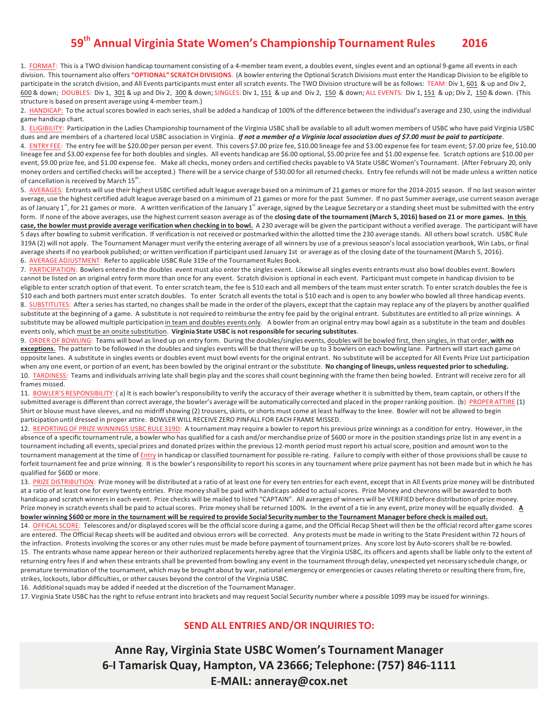## **59th(Annual(Virginia(State Women's Championship Tournament(Rules( 2016**

1. FORMAT: This is a TWO division handicap tournament consisting of a 4-member team event, a doubles event, singles event and an optional 9-game all events in each division. This tournament also offers "OPTIONAL" SCRATCH DIVISIONS. (A bowler entering the Optional Scratch Divisions must enter the Handicap Division to be eligible to participate in the scratch division, and All Events participants must enter all scratch events. The TWO Division structure will be as follows: TEAM: Div 1, 601 & up and Div 2, 600 & down; DOUBLES: Div 1, 301 & up and Div 2, 300 & down; SINGLES: Div 1, 151 & up and Div 2, 150 & down; ALL EVENTS: Div 1, 151 & up; Div 2, 150 & down. (This structure is based on present average using 4-member team.)

2. HANDICAP: To the actual scores bowled in each series, shall be added a handicap of 100% of the difference between the individual's average and 230, using the individual game handicap chart.

3. ELIGIBILITY: Participation in the Ladies Championship tournament of the Virginia USBC shall be available to all adult women members of USBC who have paid Virginia USBC dues and are members of a chartered local USBC association in Virginia. If not a member of a Virginia local association dues of \$7.00 must be paid to participate.

4. ENTRY FEE: The entry fee will be \$20.00 per person per event. This covers \$7.00 prize fee, \$10.00 lineage fee and \$3.00 expense fee for team event; \$7.00 prize fee, \$10.00 lineage fee and \$3.00 expense fee for both doubles and singles. All events handicap are \$6.00 optional, \$5.00 prize fee and \$1.00 expense fee. Scratch options are \$10.00 per event, \$9.00 prize fee, and \$1.00 expense fee. Make all checks, money orders and certified checks payable to VA State USBC Women's Tournament. (After February 20, only money orders and certified checks will be accepted.) There will be a service charge of \$30.00 for all returned checks. Entry fee refunds will not be made unless a written notice of cancellation is received by March  $15^{th}$ .

5. AVERAGES: Entrants will use their highest USBC certified adult league average based on a minimum of 21 games or more for the 2014-2015 season. If no last season winter average, use the highest certified adult league average based on a minimum of 21 games or more for the past Summer. If no past Summer average, use current season average as of January 1st, for 21 games or more. A written verification of the January 1st average, signed by the League Secretary or a standing sheet must be submitted with the entry form. If none of the above averages, use the highest current season average as of the **closing date of the tournament (March 5, 2016) based on 21 or more games. In this** case, the bowler must provide average verification when checking in to bowl. A 230 average will be given the participant without a verified average. The participant will have 5 days after bowling to submit verification. If verification is not received or postmarked within the allotted time the 230 average stands. All others bowl scratch. USBC Rule 319A (2) will not apply. The Tournament Manager must verify the entering average of all winners by use of a previous season's local association yearbook, Win Labs, or final average sheets if no yearbook published; or written verification if participant used January 1st or average as of the closing date of the tournament (March 5, 2016). 6. AVERAGE ADJUSTMENT: Refer to applicable USBC Rule 319e of the Tournament Rules Book.

7. PARTICIPATION: Bowlers entered in the doubles event must also enter the singles event. Likewise all singles events entrants must also bowl doubles event. Bowlers cannot be listed on an original entry form more than once for any event. Scratch division is optional in each event. Participant must compete in handicap division to be eligible to enter scratch option of that event. To enter scratch team, the fee is \$10 each and all members of the team must enter scratch. To enter scratch doubles the fee is \$10 each and both partners must enter scratch doubles. To enter Scratch all events the total is \$10 each and is open to any bowler who bowled all three handicap events. 8. SUBSTITUTES: After a series has started, no changes shall be made in the order of the players, except that the captain may replace any of the players by another qualified substitute at the beginning of a game. A substitute is not required to reimburse the entry fee paid by the original entrant. Substitutes are entitled to all prize winnings. A substitute may be allowed multiple participation in team and doubles events only. A bowler from an original entry may bowl again as a substitute in the team and doubles events only, which must be an onsite substitution. Virginia State USBC is not responsible for securing substitutes.

9. ORDER OF BOWLING: Teams will bowl as lined up on entry form. During the doubles/singles events, doubles will be bowled first, then singles, in that order, with no exceptions. The pattern to be followed in the doubles and singles events will be that there will be up to 3 bowlers on each bowling lane. Partners will start each game on opposite lanes. A substitute in singles events or doubles event must bowl events for the original entrant. No substitute will be accepted for All Events Prize List participation when any one event, or portion of an event, has been bowled by the original entrant or the substitute. No changing of lineups, unless requested prior to scheduling. 10. TARDINESS: Teams and individuals arriving late shall begin play and the scores shall count beginning with the frame then being bowled. Entrant will receive zero for all frames missed.

11. BOWLER'S RESPONSIBILITY: (a) It is each bowler's responsibility to verify the accuracy of their average whether it is submitted by them, team captain, or others If the submitted average is different than correct average, the bowler's average will be automatically corrected and placed in the proper ranking position. (b) PROPER ATTIRE (1) Shirt or blouse must have sleeves, and no midriff showing (2) trousers, skirts, or shorts must come at least halfway to the knee. Bowler will not be allowed to begin participation until dressed in proper attire. BOWLER WILL RECEIVE ZERO PINFALL FOR EACH FRAME MISSED.

12. REPORTING OF PRIZE WINNINGS USBC RULE 319D: A tournament may require a bowler to report his previous prize winnings as a condition for entry. However, in the absence of a specific tournament rule, a bowler who has qualified for a cash and/or merchandise prize of \$600 or more in the position standings prize list in any event in a tournament including all events, special prizes and donated prizes within the previous 12-month period must report his actual score, position and amount won to the tournament management at the time of Entry in handicap or classified tournament for possible re-rating. Failure to comply with either of those provisions shall be cause to forfeit tournament fee and prize winning. It is the bowler's responsibility to report his scores in any tournament where prize payment has not been made but in which he has qualified for \$600 or more.

13. PRIZE DISTRIBUTION: Prize money will be distributed at a ratio of at least one for every ten entries for each event, except that in All Events prize money will be distributed at a ratio of at least one for every twenty entries. Prize money shall be paid with handicaps added to actual scores. Prize Money and chevrons will be awarded to both handicap and scratch winners in each event. Prize checks will be mailed to listed "CAPTAIN". All averages of winners will be VERIFIED before distribution of prize money. Prize money in scratch events shall be paid to actual scores. Prize money shall be returned 100%. In the event of a tie in any event, prize money will be equally divided. A bowler winning \$600 or more in the tournament will be required to provide Social Security number to the Tournament Manager before check is mailed out. 14. OFFICAL SCORE: Telescores and/or displayed scores will be the official score during a game, and the Official Recap Sheet will then be the official record after game scores are entered. The Official Recap sheets will be audited and obvious errors will be corrected. Any protests must be made in writing to the State President within 72 hours of the infraction. Protests involving the scores or any other rules must be made before payment of tournament prizes. Any score lost by Auto-scorers shall be re-bowled. 15. The entrants whose name appear hereon or their authorized replacements hereby agree that the Virginia USBC, its officers and agents shall be liable only to the extent of returning entry fees if and when these entrants shall be prevented from bowling any event in the tournament through delay, unexpected yet necessary schedule change, or premature termination of the tournament, which may be brought about by war, national emergency or emergencies or causes relating thereto or resulting there from, fire, strikes, lockouts, labor difficulties, or other causes beyond the control of the Virginia USBC.

16. Additional squads may be added if needed at the discretion of the Tournament Manager.

17. Virginia State USBC has the right to refuse entrant into brackets and may request Social Security number where a possible 1099 may be issued for winnings.

#### **SEND ALL ENTRIES AND/OR INQUIRIES TO:**

**Anne(Ray,(Virginia(State USBC(Women's Tournament(Manager** 6-I Tamarisk Quay, Hampton, VA 23666; Telephone: (757) 846-1111 **EIIIMAIL: anneray@cox.net**